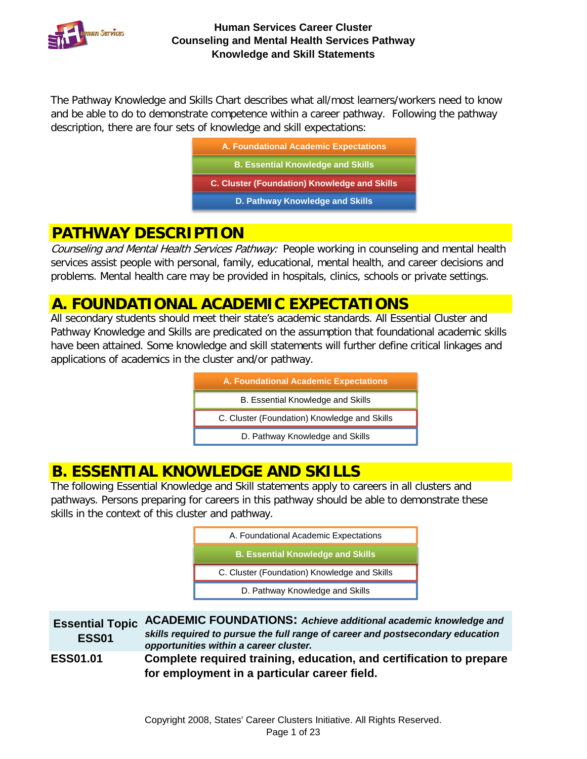

The Pathway Knowledge and Skills Chart describes what all/most learners/workers need to know and be able to do to demonstrate competence within a career pathway. Following the pathway description, there are four sets of knowledge and skill expectations:

| <b>A. Foundational Academic Expectations</b>        |
|-----------------------------------------------------|
| <b>B. Essential Knowledge and Skills</b>            |
| <b>C. Cluster (Foundation) Knowledge and Skills</b> |
| D. Pathway Knowledge and Skills                     |
|                                                     |

## **PATHWAY DESCRIPTION**

Counseling and Mental Health Services Pathway: People working in counseling and mental health services assist people with personal, family, educational, mental health, and career decisions and problems. Mental health care may be provided in hospitals, clinics, schools or private settings.

## **A. FOUNDATIONAL ACADEMIC EXPECTATIONS**

All secondary students should meet their state's academic standards. All Essential Cluster and Pathway Knowledge and Skills are predicated on the assumption that foundational academic skills have been attained. Some knowledge and skill statements will further define critical linkages and applications of academics in the cluster and/or pathway.

| A. Foundational Academic Expectations        |
|----------------------------------------------|
| B. Essential Knowledge and Skills            |
| C. Cluster (Foundation) Knowledge and Skills |
| D. Pathway Knowledge and Skills              |

# **B. ESSENTIAL KNOWLEDGE AND SKILLS**

The following Essential Knowledge and Skill statements apply to careers in all clusters and pathways. Persons preparing for careers in this pathway should be able to demonstrate these skills in the context of this cluster and pathway.

| <b>ESS01</b>    | Essential Topic ACADEMIC FOUNDATIONS: Achieve additional academic knowledge and<br>skills required to pursue the full range of career and postsecondary education<br>opportunities within a career cluster. |
|-----------------|-------------------------------------------------------------------------------------------------------------------------------------------------------------------------------------------------------------|
| <b>ESS01.01</b> | Complete required training, education, and certification to prepare<br>for employment in a particular career field.                                                                                         |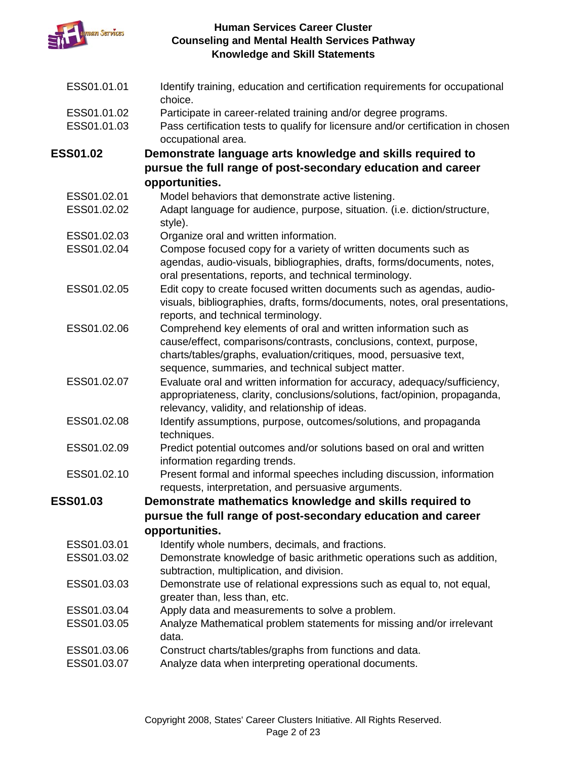

| ESS01.01.01                | Identify training, education and certification requirements for occupational<br>choice.                                                                                                                                                                          |
|----------------------------|------------------------------------------------------------------------------------------------------------------------------------------------------------------------------------------------------------------------------------------------------------------|
| ESS01.01.02<br>ESS01.01.03 | Participate in career-related training and/or degree programs.<br>Pass certification tests to qualify for licensure and/or certification in chosen<br>occupational area.                                                                                         |
| <b>ESS01.02</b>            | Demonstrate language arts knowledge and skills required to                                                                                                                                                                                                       |
|                            | pursue the full range of post-secondary education and career                                                                                                                                                                                                     |
|                            | opportunities.                                                                                                                                                                                                                                                   |
| ESS01.02.01                | Model behaviors that demonstrate active listening.                                                                                                                                                                                                               |
| ESS01.02.02                | Adapt language for audience, purpose, situation. (i.e. diction/structure,<br>style).                                                                                                                                                                             |
| ESS01.02.03                | Organize oral and written information.                                                                                                                                                                                                                           |
| ESS01.02.04                | Compose focused copy for a variety of written documents such as                                                                                                                                                                                                  |
|                            | agendas, audio-visuals, bibliographies, drafts, forms/documents, notes,<br>oral presentations, reports, and technical terminology.                                                                                                                               |
| ESS01.02.05                | Edit copy to create focused written documents such as agendas, audio-<br>visuals, bibliographies, drafts, forms/documents, notes, oral presentations,<br>reports, and technical terminology.                                                                     |
| ESS01.02.06                | Comprehend key elements of oral and written information such as<br>cause/effect, comparisons/contrasts, conclusions, context, purpose,<br>charts/tables/graphs, evaluation/critiques, mood, persuasive text,                                                     |
| ESS01.02.07                | sequence, summaries, and technical subject matter.<br>Evaluate oral and written information for accuracy, adequacy/sufficiency,<br>appropriateness, clarity, conclusions/solutions, fact/opinion, propaganda,<br>relevancy, validity, and relationship of ideas. |
| ESS01.02.08                | Identify assumptions, purpose, outcomes/solutions, and propaganda<br>techniques.                                                                                                                                                                                 |
| ESS01.02.09                | Predict potential outcomes and/or solutions based on oral and written<br>information regarding trends.                                                                                                                                                           |
| ESS01.02.10                | Present formal and informal speeches including discussion, information<br>requests, interpretation, and persuasive arguments.                                                                                                                                    |
| <b>ESS01.03</b>            | Demonstrate mathematics knowledge and skills required to                                                                                                                                                                                                         |
|                            | pursue the full range of post-secondary education and career                                                                                                                                                                                                     |
|                            | opportunities.                                                                                                                                                                                                                                                   |
| ESS01.03.01                | Identify whole numbers, decimals, and fractions.                                                                                                                                                                                                                 |
| ESS01.03.02                | Demonstrate knowledge of basic arithmetic operations such as addition,<br>subtraction, multiplication, and division.                                                                                                                                             |
| ESS01.03.03                | Demonstrate use of relational expressions such as equal to, not equal,<br>greater than, less than, etc.                                                                                                                                                          |
| ESS01.03.04                | Apply data and measurements to solve a problem.                                                                                                                                                                                                                  |
| ESS01.03.05                | Analyze Mathematical problem statements for missing and/or irrelevant<br>data.                                                                                                                                                                                   |
| ESS01.03.06                | Construct charts/tables/graphs from functions and data.                                                                                                                                                                                                          |
| ESS01.03.07                | Analyze data when interpreting operational documents.                                                                                                                                                                                                            |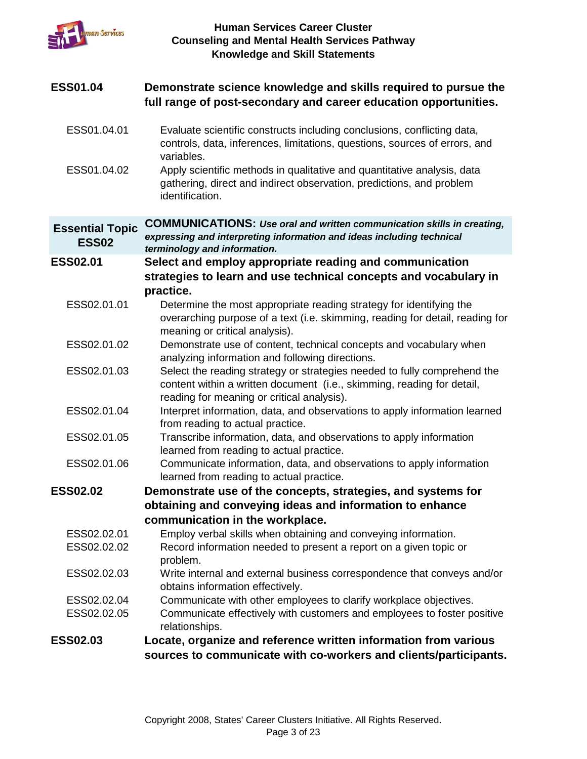

| <b>ESS01.04</b>                        | Demonstrate science knowledge and skills required to pursue the<br>full range of post-secondary and career education opportunities.                                                              |
|----------------------------------------|--------------------------------------------------------------------------------------------------------------------------------------------------------------------------------------------------|
| ESS01.04.01                            | Evaluate scientific constructs including conclusions, conflicting data,<br>controls, data, inferences, limitations, questions, sources of errors, and<br>variables.                              |
| ESS01.04.02                            | Apply scientific methods in qualitative and quantitative analysis, data<br>gathering, direct and indirect observation, predictions, and problem<br>identification.                               |
| <b>Essential Topic</b><br><b>ESS02</b> | <b>COMMUNICATIONS:</b> Use oral and written communication skills in creating,<br>expressing and interpreting information and ideas including technical<br>terminology and information.           |
| <b>ESS02.01</b>                        | Select and employ appropriate reading and communication<br>strategies to learn and use technical concepts and vocabulary in<br>practice.                                                         |
| ESS02.01.01                            | Determine the most appropriate reading strategy for identifying the<br>overarching purpose of a text (i.e. skimming, reading for detail, reading for<br>meaning or critical analysis).           |
| ESS02.01.02                            | Demonstrate use of content, technical concepts and vocabulary when<br>analyzing information and following directions.                                                                            |
| ESS02.01.03                            | Select the reading strategy or strategies needed to fully comprehend the<br>content within a written document (i.e., skimming, reading for detail,<br>reading for meaning or critical analysis). |
| ESS02.01.04                            | Interpret information, data, and observations to apply information learned<br>from reading to actual practice.                                                                                   |
| ESS02.01.05                            | Transcribe information, data, and observations to apply information<br>learned from reading to actual practice.                                                                                  |
| ESS02.01.06                            | Communicate information, data, and observations to apply information<br>learned from reading to actual practice.                                                                                 |
| <b>ESS02.02</b>                        | Demonstrate use of the concepts, strategies, and systems for                                                                                                                                     |
|                                        | obtaining and conveying ideas and information to enhance                                                                                                                                         |
|                                        | communication in the workplace.                                                                                                                                                                  |
| ESS02.02.01                            | Employ verbal skills when obtaining and conveying information.                                                                                                                                   |
| ESS02.02.02                            | Record information needed to present a report on a given topic or<br>problem.                                                                                                                    |
| ESS02.02.03                            | Write internal and external business correspondence that conveys and/or<br>obtains information effectively.                                                                                      |
| ESS02.02.04                            | Communicate with other employees to clarify workplace objectives.                                                                                                                                |
| ESS02.02.05                            | Communicate effectively with customers and employees to foster positive<br>relationships.                                                                                                        |
| <b>ESS02.03</b>                        | Locate, organize and reference written information from various                                                                                                                                  |
|                                        | sources to communicate with co-workers and clients/participants.                                                                                                                                 |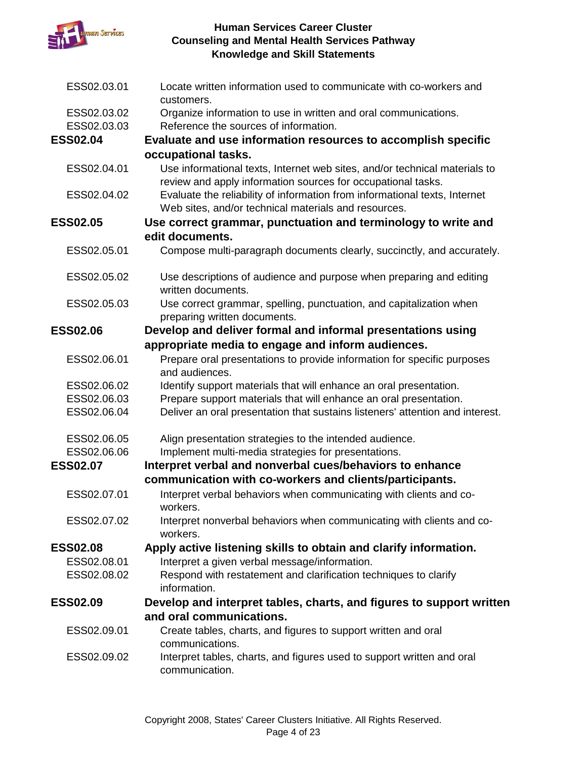

| ESS02.03.01     | Locate written information used to communicate with co-workers and<br>customers.                                                           |
|-----------------|--------------------------------------------------------------------------------------------------------------------------------------------|
| ESS02.03.02     | Organize information to use in written and oral communications.                                                                            |
| ESS02.03.03     | Reference the sources of information.                                                                                                      |
| <b>ESS02.04</b> | Evaluate and use information resources to accomplish specific                                                                              |
|                 | occupational tasks.                                                                                                                        |
| ESS02.04.01     | Use informational texts, Internet web sites, and/or technical materials to<br>review and apply information sources for occupational tasks. |
| ESS02.04.02     | Evaluate the reliability of information from informational texts, Internet<br>Web sites, and/or technical materials and resources.         |
| <b>ESS02.05</b> | Use correct grammar, punctuation and terminology to write and                                                                              |
|                 | edit documents.                                                                                                                            |
| ESS02.05.01     | Compose multi-paragraph documents clearly, succinctly, and accurately.                                                                     |
| ESS02.05.02     | Use descriptions of audience and purpose when preparing and editing<br>written documents.                                                  |
| ESS02.05.03     | Use correct grammar, spelling, punctuation, and capitalization when<br>preparing written documents.                                        |
| <b>ESS02.06</b> | Develop and deliver formal and informal presentations using                                                                                |
|                 | appropriate media to engage and inform audiences.                                                                                          |
| ESS02.06.01     | Prepare oral presentations to provide information for specific purposes<br>and audiences.                                                  |
| ESS02.06.02     | Identify support materials that will enhance an oral presentation.                                                                         |
| ESS02.06.03     | Prepare support materials that will enhance an oral presentation.                                                                          |
| ESS02.06.04     | Deliver an oral presentation that sustains listeners' attention and interest.                                                              |
| ESS02.06.05     | Align presentation strategies to the intended audience.                                                                                    |
| ESS02.06.06     | Implement multi-media strategies for presentations.                                                                                        |
| <b>ESS02.07</b> | Interpret verbal and nonverbal cues/behaviors to enhance                                                                                   |
|                 | communication with co-workers and clients/participants.                                                                                    |
| ESS02.07.01     | Interpret verbal behaviors when communicating with clients and co-<br>workers.                                                             |
| ESS02.07.02     | Interpret nonverbal behaviors when communicating with clients and co-<br>workers.                                                          |
| <b>ESS02.08</b> | Apply active listening skills to obtain and clarify information.                                                                           |
| ESS02.08.01     | Interpret a given verbal message/information.                                                                                              |
| ESS02.08.02     | Respond with restatement and clarification techniques to clarify                                                                           |
|                 | information.                                                                                                                               |
| <b>ESS02.09</b> | Develop and interpret tables, charts, and figures to support written                                                                       |
|                 | and oral communications.                                                                                                                   |
| ESS02.09.01     | Create tables, charts, and figures to support written and oral<br>communications.                                                          |
| ESS02.09.02     | Interpret tables, charts, and figures used to support written and oral<br>communication.                                                   |
|                 |                                                                                                                                            |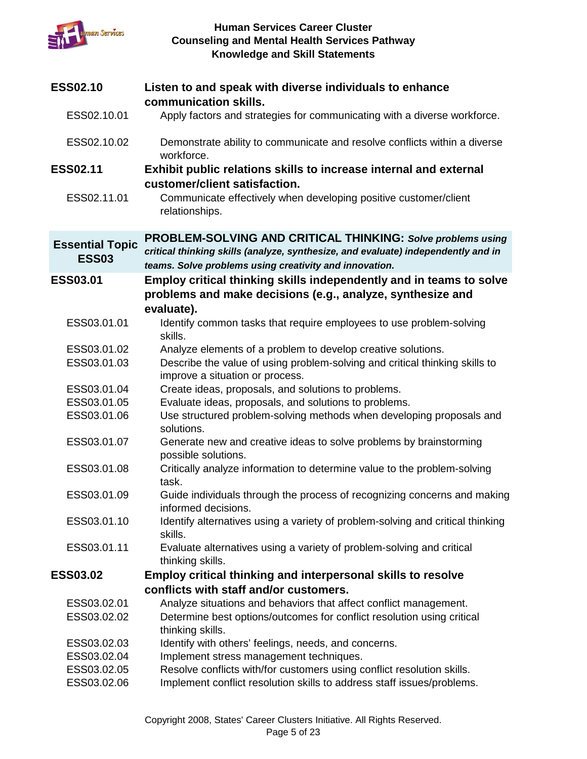

| <b>ESS02.10</b>                        | Listen to and speak with diverse individuals to enhance<br>communication skills.                                                                                                                           |
|----------------------------------------|------------------------------------------------------------------------------------------------------------------------------------------------------------------------------------------------------------|
| ESS02.10.01                            | Apply factors and strategies for communicating with a diverse workforce.                                                                                                                                   |
| ESS02.10.02                            | Demonstrate ability to communicate and resolve conflicts within a diverse<br>workforce.                                                                                                                    |
| <b>ESS02.11</b>                        | Exhibit public relations skills to increase internal and external<br>customer/client satisfaction.                                                                                                         |
| ESS02.11.01                            | Communicate effectively when developing positive customer/client<br>relationships.                                                                                                                         |
| <b>Essential Topic</b><br><b>ESS03</b> | PROBLEM-SOLVING AND CRITICAL THINKING: Solve problems using<br>critical thinking skills (analyze, synthesize, and evaluate) independently and in<br>teams. Solve problems using creativity and innovation. |
| <b>ESS03.01</b>                        | Employ critical thinking skills independently and in teams to solve<br>problems and make decisions (e.g., analyze, synthesize and<br>evaluate).                                                            |
| ESS03.01.01                            | Identify common tasks that require employees to use problem-solving<br>skills.                                                                                                                             |
| ESS03.01.02                            | Analyze elements of a problem to develop creative solutions.                                                                                                                                               |
| ESS03.01.03                            | Describe the value of using problem-solving and critical thinking skills to<br>improve a situation or process.                                                                                             |
| ESS03.01.04                            | Create ideas, proposals, and solutions to problems.                                                                                                                                                        |
| ESS03.01.05                            | Evaluate ideas, proposals, and solutions to problems.                                                                                                                                                      |
| ESS03.01.06                            | Use structured problem-solving methods when developing proposals and<br>solutions.                                                                                                                         |
| ESS03.01.07                            | Generate new and creative ideas to solve problems by brainstorming<br>possible solutions.                                                                                                                  |
| ESS03.01.08                            | Critically analyze information to determine value to the problem-solving<br>task.                                                                                                                          |
| ESS03.01.09                            | Guide individuals through the process of recognizing concerns and making<br>informed decisions.                                                                                                            |
| ESS03.01.10                            | Identify alternatives using a variety of problem-solving and critical thinking<br>skills.                                                                                                                  |
| ESS03.01.11                            | Evaluate alternatives using a variety of problem-solving and critical<br>thinking skills.                                                                                                                  |
| <b>ESS03.02</b>                        | <b>Employ critical thinking and interpersonal skills to resolve</b>                                                                                                                                        |
|                                        | conflicts with staff and/or customers.                                                                                                                                                                     |
| ESS03.02.01                            | Analyze situations and behaviors that affect conflict management.                                                                                                                                          |
| ESS03.02.02                            | Determine best options/outcomes for conflict resolution using critical<br>thinking skills.                                                                                                                 |
| ESS03.02.03                            | Identify with others' feelings, needs, and concerns.                                                                                                                                                       |
| ESS03.02.04                            | Implement stress management techniques.                                                                                                                                                                    |
| ESS03.02.05                            | Resolve conflicts with/for customers using conflict resolution skills.                                                                                                                                     |
| ESS03.02.06                            | Implement conflict resolution skills to address staff issues/problems.                                                                                                                                     |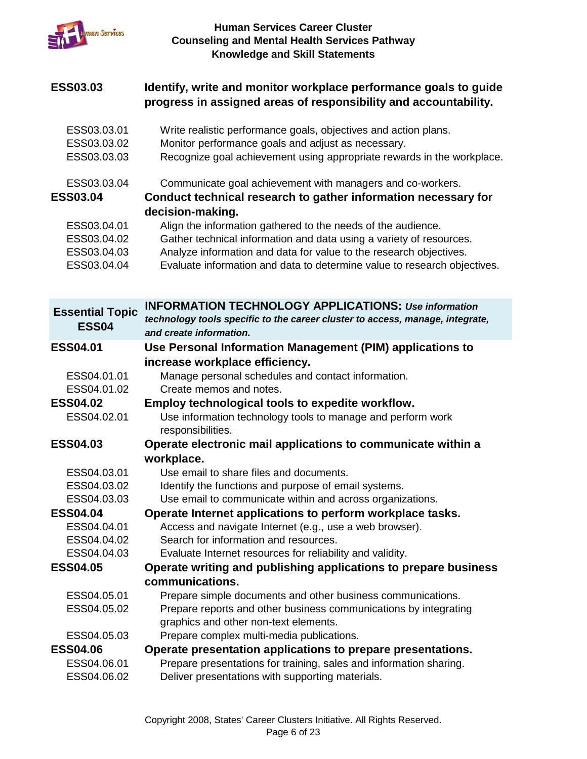

### **ESS03.03 Identify, write and monitor workplace performance goals to guide progress in assigned areas of responsibility and accountability.**

- ESS03.03.01 Write realistic performance goals, objectives and action plans.
- ESS03.03.02 Monitor performance goals and adjust as necessary.
- ESS03.03.03 Recognize goal achievement using appropriate rewards in the workplace.
- ESS03.03.04 Communicate goal achievement with managers and co-workers.

## **ESS03.04 Conduct technical research to gather information necessary for decision-making.**

- ESS03.04.01 Align the information gathered to the needs of the audience.
- ESS03.04.02 Gather technical information and data using a variety of resources.
- ESS03.04.03 Analyze information and data for value to the research objectives.
- ESS03.04.04 Evaluate information and data to determine value to research objectives.

| <b>Essential Topic</b><br><b>ESS04</b> | <b>INFORMATION TECHNOLOGY APPLICATIONS: Use information</b><br>technology tools specific to the career cluster to access, manage, integrate,<br>and create information. |
|----------------------------------------|-------------------------------------------------------------------------------------------------------------------------------------------------------------------------|
| <b>ESS04.01</b>                        | Use Personal Information Management (PIM) applications to                                                                                                               |
|                                        | increase workplace efficiency.                                                                                                                                          |
| ESS04.01.01                            | Manage personal schedules and contact information.                                                                                                                      |
| ESS04.01.02                            | Create memos and notes.                                                                                                                                                 |
| <b>ESS04.02</b>                        | Employ technological tools to expedite workflow.                                                                                                                        |
| ESS04.02.01                            | Use information technology tools to manage and perform work<br>responsibilities.                                                                                        |
| <b>ESS04.03</b>                        | Operate electronic mail applications to communicate within a                                                                                                            |
|                                        | workplace.                                                                                                                                                              |
| ESS04.03.01                            | Use email to share files and documents.                                                                                                                                 |
| ESS04.03.02                            | Identify the functions and purpose of email systems.                                                                                                                    |
| ESS04.03.03                            | Use email to communicate within and across organizations.                                                                                                               |
| <b>ESS04.04</b>                        | Operate Internet applications to perform workplace tasks.                                                                                                               |
| ESS04.04.01                            | Access and navigate Internet (e.g., use a web browser).                                                                                                                 |
| ESS04.04.02                            | Search for information and resources.                                                                                                                                   |
| ESS04.04.03                            | Evaluate Internet resources for reliability and validity.                                                                                                               |
| <b>ESS04.05</b>                        | Operate writing and publishing applications to prepare business                                                                                                         |
|                                        | communications.                                                                                                                                                         |
| ESS04.05.01                            | Prepare simple documents and other business communications.                                                                                                             |
| ESS04.05.02                            | Prepare reports and other business communications by integrating                                                                                                        |
|                                        | graphics and other non-text elements.                                                                                                                                   |
| ESS04.05.03                            | Prepare complex multi-media publications.                                                                                                                               |
| <b>ESS04.06</b>                        | Operate presentation applications to prepare presentations.                                                                                                             |
| ESS04.06.01<br>ESS04.06.02             | Prepare presentations for training, sales and information sharing.<br>Deliver presentations with supporting materials.                                                  |
|                                        |                                                                                                                                                                         |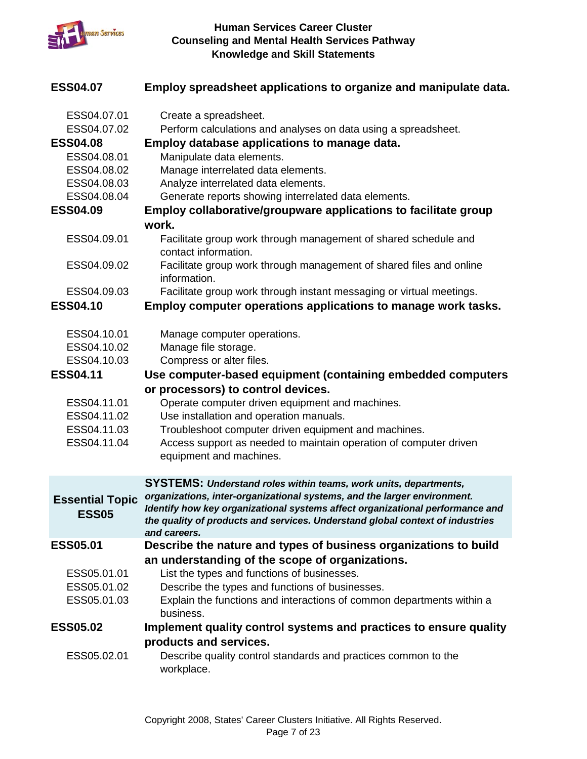

| <b>ESS04.07</b>                        | Employ spreadsheet applications to organize and manipulate data.                                                                                                                                                                                           |
|----------------------------------------|------------------------------------------------------------------------------------------------------------------------------------------------------------------------------------------------------------------------------------------------------------|
| ESS04.07.01<br>ESS04.07.02             | Create a spreadsheet.<br>Perform calculations and analyses on data using a spreadsheet.                                                                                                                                                                    |
| <b>ESS04.08</b>                        | Employ database applications to manage data.                                                                                                                                                                                                               |
| ESS04.08.01                            | Manipulate data elements.                                                                                                                                                                                                                                  |
| ESS04.08.02                            | Manage interrelated data elements.                                                                                                                                                                                                                         |
| ESS04.08.03<br>ESS04.08.04             | Analyze interrelated data elements.<br>Generate reports showing interrelated data elements.                                                                                                                                                                |
| <b>ESS04.09</b>                        | <b>Employ collaborative/groupware applications to facilitate group</b>                                                                                                                                                                                     |
|                                        | work.                                                                                                                                                                                                                                                      |
| ESS04.09.01                            | Facilitate group work through management of shared schedule and<br>contact information.                                                                                                                                                                    |
| ESS04.09.02                            | Facilitate group work through management of shared files and online<br>information.                                                                                                                                                                        |
| ESS04.09.03                            | Facilitate group work through instant messaging or virtual meetings.                                                                                                                                                                                       |
| <b>ESS04.10</b>                        | Employ computer operations applications to manage work tasks.                                                                                                                                                                                              |
| ESS04.10.01                            | Manage computer operations.                                                                                                                                                                                                                                |
| ESS04.10.02                            | Manage file storage.                                                                                                                                                                                                                                       |
| ESS04.10.03                            | Compress or alter files.                                                                                                                                                                                                                                   |
| <b>ESS04.11</b>                        | Use computer-based equipment (containing embedded computers                                                                                                                                                                                                |
|                                        | or processors) to control devices.                                                                                                                                                                                                                         |
| ESS04.11.01                            | Operate computer driven equipment and machines.                                                                                                                                                                                                            |
| ESS04.11.02                            | Use installation and operation manuals.                                                                                                                                                                                                                    |
| ESS04.11.03                            | Troubleshoot computer driven equipment and machines.                                                                                                                                                                                                       |
| ESS04.11.04                            | Access support as needed to maintain operation of computer driven<br>equipment and machines.                                                                                                                                                               |
|                                        | <b>SYSTEMS: Understand roles within teams, work units, departments,</b>                                                                                                                                                                                    |
| <b>Essential Topic</b><br><b>ESS05</b> | organizations, inter-organizational systems, and the larger environment.<br>Identify how key organizational systems affect organizational performance and<br>the quality of products and services. Understand global context of industries<br>and careers. |
| <b>ESS05.01</b>                        | Describe the nature and types of business organizations to build                                                                                                                                                                                           |
|                                        | an understanding of the scope of organizations.                                                                                                                                                                                                            |
| ESS05.01.01                            | List the types and functions of businesses.                                                                                                                                                                                                                |
| ESS05.01.02                            | Describe the types and functions of businesses.                                                                                                                                                                                                            |
| ESS05.01.03                            | Explain the functions and interactions of common departments within a<br>business.                                                                                                                                                                         |
| <b>ESS05.02</b>                        | Implement quality control systems and practices to ensure quality                                                                                                                                                                                          |
|                                        | products and services.                                                                                                                                                                                                                                     |
| ESS05.02.01                            | Describe quality control standards and practices common to the<br>workplace.                                                                                                                                                                               |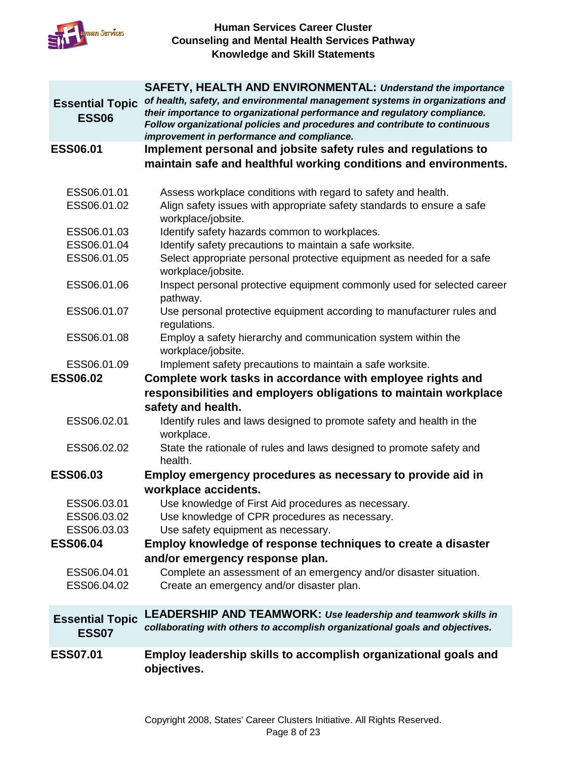

|                                        | <b>SAFETY, HEALTH AND ENVIRONMENTAL: Understand the importance</b>                                                                                                                                                                      |
|----------------------------------------|-----------------------------------------------------------------------------------------------------------------------------------------------------------------------------------------------------------------------------------------|
| <b>Essential Topic</b><br><b>ESS06</b> | of health, safety, and environmental management systems in organizations and<br>their importance to organizational performance and regulatory compliance.<br>Follow organizational policies and procedures and contribute to continuous |
|                                        | improvement in performance and compliance.                                                                                                                                                                                              |
| <b>ESS06.01</b>                        | Implement personal and jobsite safety rules and regulations to                                                                                                                                                                          |
|                                        | maintain safe and healthful working conditions and environments.                                                                                                                                                                        |
| ESS06.01.01                            | Assess workplace conditions with regard to safety and health.                                                                                                                                                                           |
| ESS06.01.02                            | Align safety issues with appropriate safety standards to ensure a safe<br>workplace/jobsite.                                                                                                                                            |
| ESS06.01.03                            | Identify safety hazards common to workplaces.                                                                                                                                                                                           |
| ESS06.01.04                            | Identify safety precautions to maintain a safe worksite.                                                                                                                                                                                |
| ESS06.01.05                            | Select appropriate personal protective equipment as needed for a safe<br>workplace/jobsite.                                                                                                                                             |
| ESS06.01.06                            | Inspect personal protective equipment commonly used for selected career<br>pathway.                                                                                                                                                     |
| ESS06.01.07                            | Use personal protective equipment according to manufacturer rules and<br>regulations.                                                                                                                                                   |
| ESS06.01.08                            | Employ a safety hierarchy and communication system within the<br>workplace/jobsite.                                                                                                                                                     |
| ESS06.01.09                            | Implement safety precautions to maintain a safe worksite.                                                                                                                                                                               |
| <b>ESS06.02</b>                        | Complete work tasks in accordance with employee rights and                                                                                                                                                                              |
|                                        | responsibilities and employers obligations to maintain workplace                                                                                                                                                                        |
|                                        | safety and health.                                                                                                                                                                                                                      |
| ESS06.02.01                            | Identify rules and laws designed to promote safety and health in the<br>workplace.                                                                                                                                                      |
| ESS06.02.02                            | State the rationale of rules and laws designed to promote safety and<br>health.                                                                                                                                                         |
| <b>ESS06.03</b>                        | Employ emergency procedures as necessary to provide aid in                                                                                                                                                                              |
|                                        | workplace accidents.                                                                                                                                                                                                                    |
| ESS06.03.01                            | Use knowledge of First Aid procedures as necessary.                                                                                                                                                                                     |
| ESS06.03.02                            | Use knowledge of CPR procedures as necessary.                                                                                                                                                                                           |
| ESS06.03.03                            | Use safety equipment as necessary.                                                                                                                                                                                                      |
| <b>ESS06.04</b>                        | Employ knowledge of response techniques to create a disaster                                                                                                                                                                            |
|                                        | and/or emergency response plan.                                                                                                                                                                                                         |
| ESS06.04.01                            | Complete an assessment of an emergency and/or disaster situation.                                                                                                                                                                       |
| ESS06.04.02                            | Create an emergency and/or disaster plan.                                                                                                                                                                                               |
| <b>Essential Topic</b><br><b>ESS07</b> | <b>LEADERSHIP AND TEAMWORK: Use leadership and teamwork skills in</b><br>collaborating with others to accomplish organizational goals and objectives.                                                                                   |
| <b>ESS07.01</b>                        | Employ leadership skills to accomplish organizational goals and<br>objectives.                                                                                                                                                          |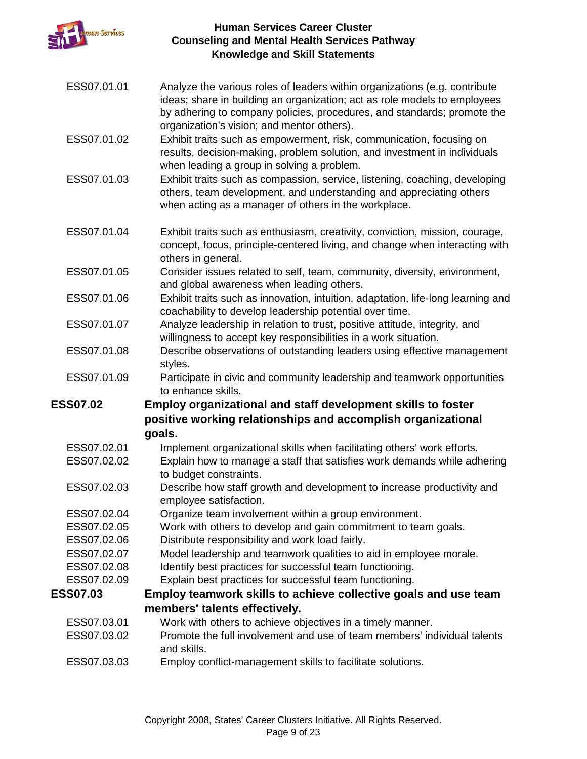

- ESS07.01.01 Analyze the various roles of leaders within organizations (e.g. contribute ideas; share in building an organization; act as role models to employees by adhering to company policies, procedures, and standards; promote the organization's vision; and mentor others).
- ESS07.01.02 Exhibit traits such as empowerment, risk, communication, focusing on results, decision-making, problem solution, and investment in individuals when leading a group in solving a problem.
- ESS07.01.03 Exhibit traits such as compassion, service, listening, coaching, developing others, team development, and understanding and appreciating others when acting as a manager of others in the workplace.
- ESS07.01.04 Exhibit traits such as enthusiasm, creativity, conviction, mission, courage, concept, focus, principle-centered living, and change when interacting with others in general.
- ESS07.01.05 Consider issues related to self, team, community, diversity, environment, and global awareness when leading others.
- ESS07.01.06 Exhibit traits such as innovation, intuition, adaptation, life-long learning and coachability to develop leadership potential over time.
- ESS07.01.07 Analyze leadership in relation to trust, positive attitude, integrity, and willingness to accept key responsibilities in a work situation.
- ESS07.01.08 Describe observations of outstanding leaders using effective management styles.
- ESS07.01.09 Participate in civic and community leadership and teamwork opportunities to enhance skills.

## **ESS07.02 Employ organizational and staff development skills to foster positive working relationships and accomplish organizational goals.**

- ESS07.02.01 Implement organizational skills when facilitating others' work efforts.
- ESS07.02.02 Explain how to manage a staff that satisfies work demands while adhering to budget constraints.
- ESS07.02.03 Describe how staff growth and development to increase productivity and employee satisfaction.
- ESS07.02.04 Organize team involvement within a group environment.
- ESS07.02.05 Work with others to develop and gain commitment to team goals.
- ESS07.02.06 Distribute responsibility and work load fairly.
- ESS07.02.07 Model leadership and teamwork qualities to aid in employee morale.
- ESS07.02.08 Identify best practices for successful team functioning.
- ESS07.02.09 Explain best practices for successful team functioning.

## **ESS07.03 Employ teamwork skills to achieve collective goals and use team members' talents effectively.**

- ESS07.03.01 Work with others to achieve objectives in a timely manner.
- ESS07.03.02 Promote the full involvement and use of team members' individual talents and skills.
- ESS07.03.03 Employ conflict-management skills to facilitate solutions.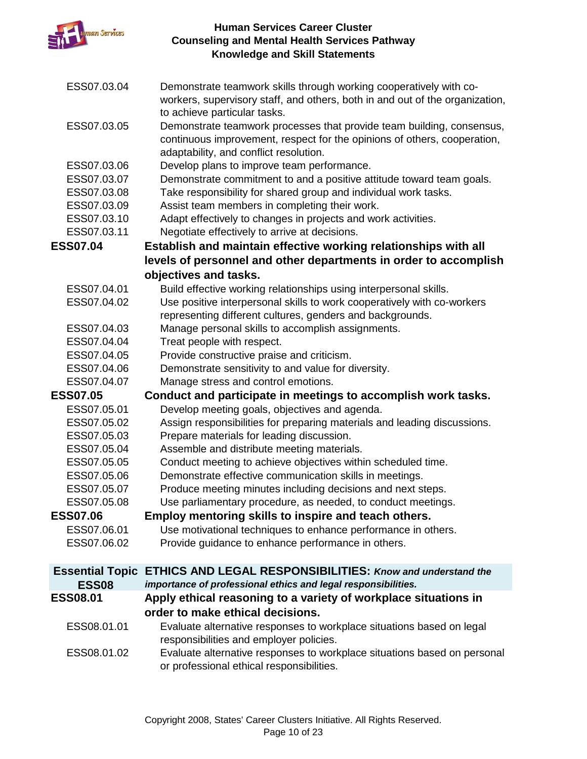

| ESS07.03.04            | Demonstrate teamwork skills through working cooperatively with co-<br>workers, supervisory staff, and others, both in and out of the organization,<br>to achieve particular tasks.          |
|------------------------|---------------------------------------------------------------------------------------------------------------------------------------------------------------------------------------------|
| ESS07.03.05            | Demonstrate teamwork processes that provide team building, consensus,<br>continuous improvement, respect for the opinions of others, cooperation,<br>adaptability, and conflict resolution. |
| ESS07.03.06            | Develop plans to improve team performance.                                                                                                                                                  |
| ESS07.03.07            | Demonstrate commitment to and a positive attitude toward team goals.                                                                                                                        |
| ESS07.03.08            | Take responsibility for shared group and individual work tasks.                                                                                                                             |
| ESS07.03.09            | Assist team members in completing their work.                                                                                                                                               |
| ESS07.03.10            | Adapt effectively to changes in projects and work activities.                                                                                                                               |
| ESS07.03.11            | Negotiate effectively to arrive at decisions.                                                                                                                                               |
| <b>ESS07.04</b>        | Establish and maintain effective working relationships with all                                                                                                                             |
|                        | levels of personnel and other departments in order to accomplish                                                                                                                            |
|                        | objectives and tasks.                                                                                                                                                                       |
| ESS07.04.01            | Build effective working relationships using interpersonal skills.                                                                                                                           |
| ESS07.04.02            | Use positive interpersonal skills to work cooperatively with co-workers                                                                                                                     |
|                        | representing different cultures, genders and backgrounds.                                                                                                                                   |
| ESS07.04.03            | Manage personal skills to accomplish assignments.                                                                                                                                           |
| ESS07.04.04            | Treat people with respect.                                                                                                                                                                  |
| ESS07.04.05            | Provide constructive praise and criticism.                                                                                                                                                  |
| ESS07.04.06            | Demonstrate sensitivity to and value for diversity.                                                                                                                                         |
| ESS07.04.07            | Manage stress and control emotions.                                                                                                                                                         |
| <b>ESS07.05</b>        | Conduct and participate in meetings to accomplish work tasks.                                                                                                                               |
| ESS07.05.01            | Develop meeting goals, objectives and agenda.                                                                                                                                               |
| ESS07.05.02            | Assign responsibilities for preparing materials and leading discussions.                                                                                                                    |
| ESS07.05.03            | Prepare materials for leading discussion.                                                                                                                                                   |
| ESS07.05.04            | Assemble and distribute meeting materials.                                                                                                                                                  |
| ESS07.05.05            | Conduct meeting to achieve objectives within scheduled time.                                                                                                                                |
| ESS07.05.06            | Demonstrate effective communication skills in meetings.                                                                                                                                     |
| ESS07.05.07            | Produce meeting minutes including decisions and next steps.                                                                                                                                 |
| ESS07.05.08            | Use parliamentary procedure, as needed, to conduct meetings.                                                                                                                                |
| <b>ESS07.06</b>        | Employ mentoring skills to inspire and teach others.                                                                                                                                        |
| ESS07.06.01            | Use motivational techniques to enhance performance in others.                                                                                                                               |
| ESS07.06.02            | Provide guidance to enhance performance in others.                                                                                                                                          |
| <b>Essential Topic</b> | <b>ETHICS AND LEGAL RESPONSIBILITIES: Know and understand the</b>                                                                                                                           |
| <b>ESS08</b>           | importance of professional ethics and legal responsibilities.                                                                                                                               |
| <b>ESS08.01</b>        | Apply ethical reasoning to a variety of workplace situations in                                                                                                                             |
|                        | order to make ethical decisions.                                                                                                                                                            |
| ESS08.01.01            | Evaluate alternative responses to workplace situations based on legal                                                                                                                       |
|                        | responsibilities and employer policies.                                                                                                                                                     |
| ESS08.01.02            | Evaluate alternative responses to workplace situations based on personal<br>or professional ethical responsibilities.                                                                       |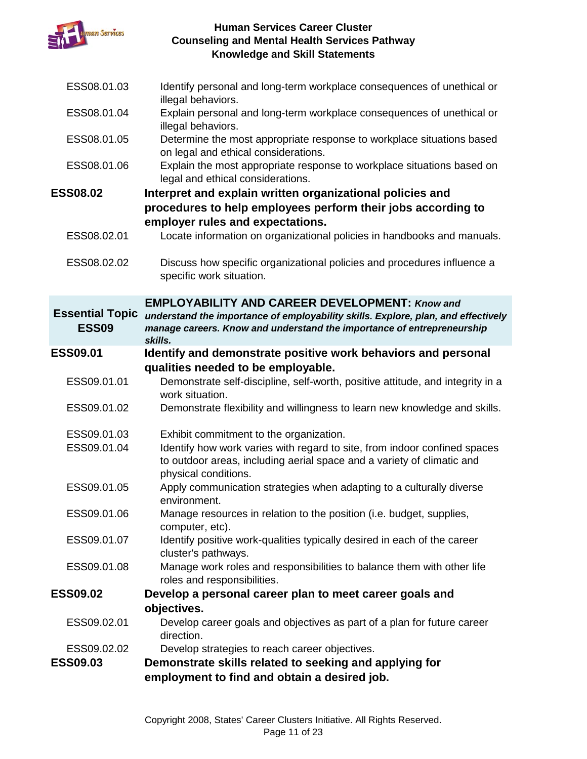

| ESS08.01.03                            | Identify personal and long-term workplace consequences of unethical or<br>illegal behaviors.                                                                                |
|----------------------------------------|-----------------------------------------------------------------------------------------------------------------------------------------------------------------------------|
| ESS08.01.04                            | Explain personal and long-term workplace consequences of unethical or<br>illegal behaviors.                                                                                 |
| ESS08.01.05                            | Determine the most appropriate response to workplace situations based<br>on legal and ethical considerations.                                                               |
| ESS08.01.06                            | Explain the most appropriate response to workplace situations based on<br>legal and ethical considerations.                                                                 |
| <b>ESS08.02</b>                        | Interpret and explain written organizational policies and                                                                                                                   |
|                                        | procedures to help employees perform their jobs according to                                                                                                                |
|                                        | employer rules and expectations.                                                                                                                                            |
| ESS08.02.01                            | Locate information on organizational policies in handbooks and manuals.                                                                                                     |
| ESS08.02.02                            | Discuss how specific organizational policies and procedures influence a<br>specific work situation.                                                                         |
|                                        | <b>EMPLOYABILITY AND CAREER DEVELOPMENT: Know and</b>                                                                                                                       |
| <b>Essential Topic</b><br><b>ESS09</b> | understand the importance of employability skills. Explore, plan, and effectively<br>manage careers. Know and understand the importance of entrepreneurship<br>skills.      |
| <b>ESS09.01</b>                        | Identify and demonstrate positive work behaviors and personal                                                                                                               |
|                                        | qualities needed to be employable.                                                                                                                                          |
| ESS09.01.01                            | Demonstrate self-discipline, self-worth, positive attitude, and integrity in a<br>work situation.                                                                           |
| ESS09.01.02                            | Demonstrate flexibility and willingness to learn new knowledge and skills.                                                                                                  |
| ESS09.01.03                            | Exhibit commitment to the organization.                                                                                                                                     |
| ESS09.01.04                            | Identify how work varies with regard to site, from indoor confined spaces<br>to outdoor areas, including aerial space and a variety of climatic and<br>physical conditions. |
| ESS09.01.05                            | Apply communication strategies when adapting to a culturally diverse<br>environment.                                                                                        |
| ESS09.01.06                            | Manage resources in relation to the position (i.e. budget, supplies,<br>computer, etc).                                                                                     |
| ESS09.01.07                            | Identify positive work-qualities typically desired in each of the career<br>cluster's pathways.                                                                             |
| ESS09.01.08                            | Manage work roles and responsibilities to balance them with other life<br>roles and responsibilities.                                                                       |
| <b>ESS09.02</b>                        | Develop a personal career plan to meet career goals and                                                                                                                     |
|                                        | objectives.                                                                                                                                                                 |
| ESS09.02.01                            | Develop career goals and objectives as part of a plan for future career<br>direction.                                                                                       |
| ESS09.02.02                            | Develop strategies to reach career objectives.                                                                                                                              |
| <b>ESS09.03</b>                        | Demonstrate skills related to seeking and applying for<br>employment to find and obtain a desired job.                                                                      |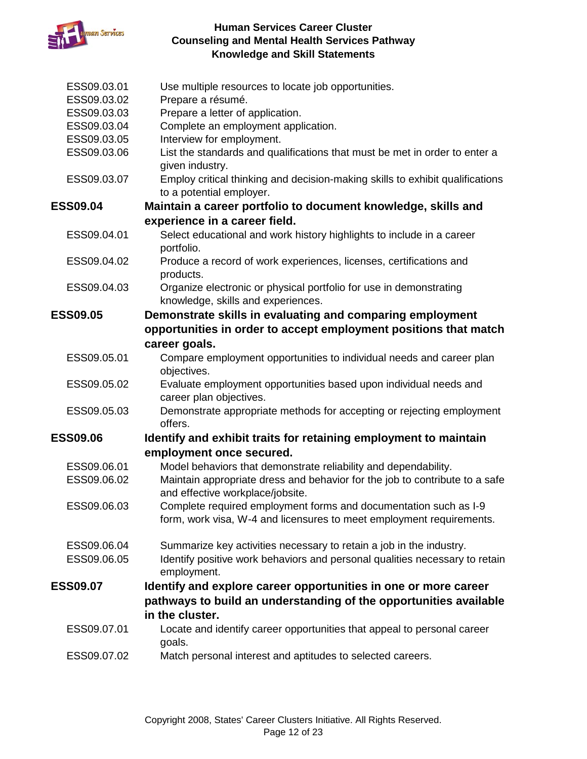

| ESS09.03.01                | Use multiple resources to locate job opportunities.                                                             |
|----------------------------|-----------------------------------------------------------------------------------------------------------------|
| ESS09.03.02                | Prepare a résumé.                                                                                               |
| ESS09.03.03                | Prepare a letter of application.                                                                                |
| ESS09.03.04<br>ESS09.03.05 | Complete an employment application.<br>Interview for employment.                                                |
|                            |                                                                                                                 |
| ESS09.03.06                | List the standards and qualifications that must be met in order to enter a<br>given industry.                   |
| ESS09.03.07                | Employ critical thinking and decision-making skills to exhibit qualifications<br>to a potential employer.       |
| <b>ESS09.04</b>            | Maintain a career portfolio to document knowledge, skills and                                                   |
|                            | experience in a career field.                                                                                   |
| ESS09.04.01                | Select educational and work history highlights to include in a career<br>portfolio.                             |
| ESS09.04.02                | Produce a record of work experiences, licenses, certifications and<br>products.                                 |
| ESS09.04.03                | Organize electronic or physical portfolio for use in demonstrating<br>knowledge, skills and experiences.        |
| <b>ESS09.05</b>            | Demonstrate skills in evaluating and comparing employment                                                       |
|                            | opportunities in order to accept employment positions that match                                                |
|                            | career goals.                                                                                                   |
| ESS09.05.01                | Compare employment opportunities to individual needs and career plan<br>objectives.                             |
| ESS09.05.02                | Evaluate employment opportunities based upon individual needs and                                               |
|                            | career plan objectives.                                                                                         |
| ESS09.05.03                | Demonstrate appropriate methods for accepting or rejecting employment<br>offers.                                |
| <b>ESS09.06</b>            | Identify and exhibit traits for retaining employment to maintain                                                |
|                            | employment once secured.                                                                                        |
| ESS09.06.01                | Model behaviors that demonstrate reliability and dependability.                                                 |
| ESS09.06.02                | Maintain appropriate dress and behavior for the job to contribute to a safe<br>and effective workplace/jobsite. |
| ESS09.06.03                | Complete required employment forms and documentation such as I-9                                                |
|                            | form, work visa, W-4 and licensures to meet employment requirements.                                            |
| ESS09.06.04                | Summarize key activities necessary to retain a job in the industry.                                             |
| ESS09.06.05                | Identify positive work behaviors and personal qualities necessary to retain<br>employment.                      |
| <b>ESS09.07</b>            | Identify and explore career opportunities in one or more career                                                 |
|                            | pathways to build an understanding of the opportunities available<br>in the cluster.                            |
| ESS09.07.01                | Locate and identify career opportunities that appeal to personal career<br>goals.                               |
| ESS09.07.02                | Match personal interest and aptitudes to selected careers.                                                      |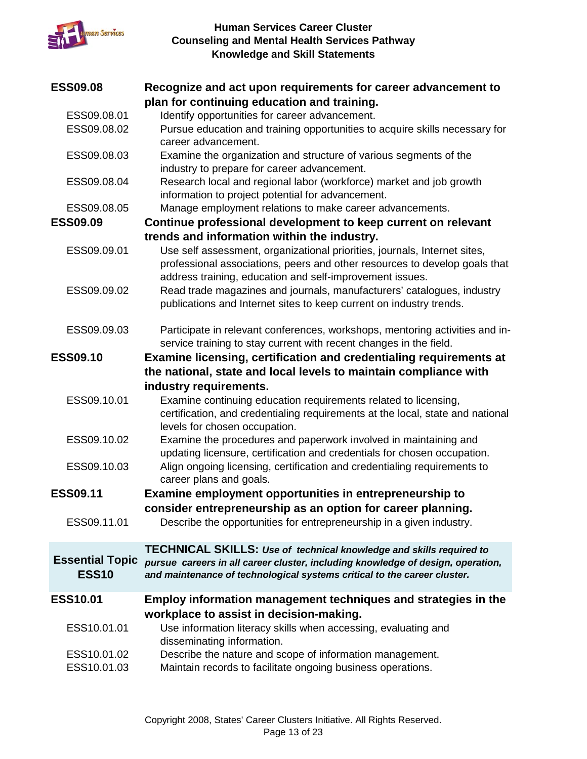

| <b>ESS09.08</b>        | Recognize and act upon requirements for career advancement to                                      |
|------------------------|----------------------------------------------------------------------------------------------------|
|                        | plan for continuing education and training.                                                        |
| ESS09.08.01            | Identify opportunities for career advancement.                                                     |
| ESS09.08.02            | Pursue education and training opportunities to acquire skills necessary for<br>career advancement. |
| ESS09.08.03            | Examine the organization and structure of various segments of the                                  |
|                        | industry to prepare for career advancement.                                                        |
| ESS09.08.04            | Research local and regional labor (workforce) market and job growth                                |
|                        | information to project potential for advancement.                                                  |
| ESS09.08.05            | Manage employment relations to make career advancements.                                           |
| <b>ESS09.09</b>        | Continue professional development to keep current on relevant                                      |
|                        | trends and information within the industry.                                                        |
| ESS09.09.01            | Use self assessment, organizational priorities, journals, Internet sites,                          |
|                        | professional associations, peers and other resources to develop goals that                         |
|                        | address training, education and self-improvement issues.                                           |
| ESS09.09.02            | Read trade magazines and journals, manufacturers' catalogues, industry                             |
|                        | publications and Internet sites to keep current on industry trends.                                |
|                        |                                                                                                    |
| ESS09.09.03            | Participate in relevant conferences, workshops, mentoring activities and in-                       |
|                        | service training to stay current with recent changes in the field.                                 |
| <b>ESS09.10</b>        | Examine licensing, certification and credentialing requirements at                                 |
|                        |                                                                                                    |
|                        | the national, state and local levels to maintain compliance with                                   |
|                        | industry requirements.                                                                             |
| ESS09.10.01            | Examine continuing education requirements related to licensing,                                    |
|                        | certification, and credentialing requirements at the local, state and national                     |
|                        | levels for chosen occupation.                                                                      |
| ESS09.10.02            | Examine the procedures and paperwork involved in maintaining and                                   |
|                        | updating licensure, certification and credentials for chosen occupation.                           |
| ESS09.10.03            | Align ongoing licensing, certification and credentialing requirements to                           |
|                        | career plans and goals.                                                                            |
| <b>ESS09.11</b>        | Examine employment opportunities in entrepreneurship to                                            |
|                        | consider entrepreneurship as an option for career planning.                                        |
| ESS09.11.01            | Describe the opportunities for entrepreneurship in a given industry.                               |
|                        | <b>TECHNICAL SKILLS: Use of technical knowledge and skills required to</b>                         |
| <b>Essential Topic</b> | pursue careers in all career cluster, including knowledge of design, operation,                    |
| <b>ESS10</b>           | and maintenance of technological systems critical to the career cluster.                           |
|                        |                                                                                                    |
| <b>ESS10.01</b>        | Employ information management techniques and strategies in the                                     |
|                        | workplace to assist in decision-making.                                                            |
| ESS10.01.01            | Use information literacy skills when accessing, evaluating and                                     |
|                        | disseminating information.                                                                         |
| ESS10.01.02            | Describe the nature and scope of information management.                                           |
| ESS10.01.03            | Maintain records to facilitate ongoing business operations.                                        |
|                        |                                                                                                    |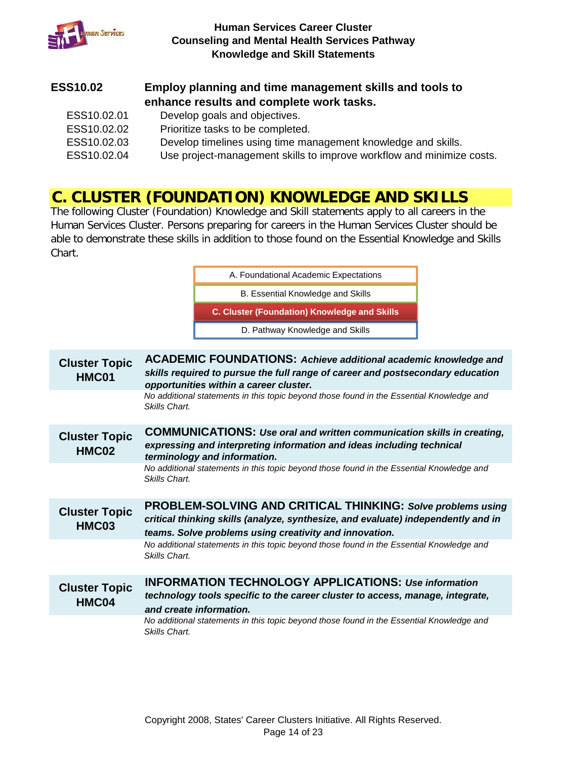

## **ESS10.02 Employ planning and time management skills and tools to enhance results and complete work tasks.**

ESS10.02.01 Develop goals and objectives. ESS10.02.02 Prioritize tasks to be completed. ESS10.02.03 Develop timelines using time management knowledge and skills. ESS10.02.04 Use project-management skills to improve workflow and minimize costs.

## **C. CLUSTER (FOUNDATION) KNOWLEDGE AND SKILLS**

The following Cluster (Foundation) Knowledge and Skill statements apply to all careers in the Human Services Cluster. Persons preparing for careers in the Human Services Cluster should be able to demonstrate these skills in addition to those found on the Essential Knowledge and Skills Chart.

|                               | A. Foundational Academic Expectations                                                                                                                                                                      |
|-------------------------------|------------------------------------------------------------------------------------------------------------------------------------------------------------------------------------------------------------|
|                               |                                                                                                                                                                                                            |
|                               | B. Essential Knowledge and Skills                                                                                                                                                                          |
|                               | C. Cluster (Foundation) Knowledge and Skills                                                                                                                                                               |
|                               | D. Pathway Knowledge and Skills                                                                                                                                                                            |
| <b>Cluster Topic</b><br>HMC01 | <b>ACADEMIC FOUNDATIONS: Achieve additional academic knowledge and</b><br>skills required to pursue the full range of career and postsecondary education                                                   |
|                               | opportunities within a career cluster.                                                                                                                                                                     |
|                               | No additional statements in this topic beyond those found in the Essential Knowledge and<br>Skills Chart.                                                                                                  |
| <b>Cluster Topic</b><br>HMC02 | <b>COMMUNICATIONS: Use oral and written communication skills in creating,</b><br>expressing and interpreting information and ideas including technical<br>terminology and information.                     |
|                               | No additional statements in this topic beyond those found in the Essential Knowledge and<br>Skills Chart.                                                                                                  |
| <b>Cluster Topic</b><br>HMC03 | PROBLEM-SOLVING AND CRITICAL THINKING: Solve problems using<br>critical thinking skills (analyze, synthesize, and evaluate) independently and in<br>teams. Solve problems using creativity and innovation. |
|                               | No additional statements in this topic beyond those found in the Essential Knowledge and<br>Skills Chart.                                                                                                  |
| <b>Cluster Topic</b><br>HMC04 | <b>INFORMATION TECHNOLOGY APPLICATIONS: Use information</b><br>technology tools specific to the career cluster to access, manage, integrate,<br>and create information.                                    |
|                               | No additional statements in this topic beyond those found in the Essential Knowledge and<br>Skills Chart.                                                                                                  |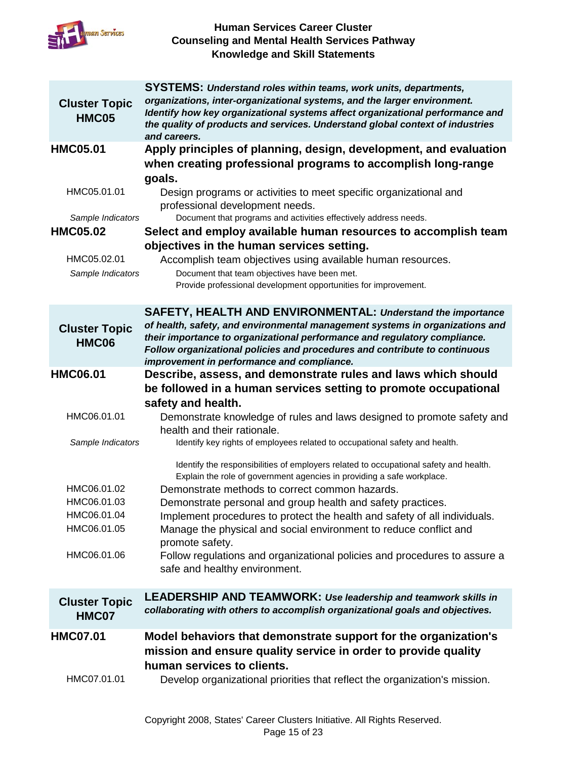

|                               | <b>SYSTEMS: Understand roles within teams, work units, departments,</b>                                                  |
|-------------------------------|--------------------------------------------------------------------------------------------------------------------------|
| <b>Cluster Topic</b>          | organizations, inter-organizational systems, and the larger environment.                                                 |
| HMC05                         | Identify how key organizational systems affect organizational performance and                                            |
|                               | the quality of products and services. Understand global context of industries<br>and careers.                            |
| <b>HMC05.01</b>               | Apply principles of planning, design, development, and evaluation                                                        |
|                               | when creating professional programs to accomplish long-range                                                             |
|                               | goals.                                                                                                                   |
| HMC05.01.01                   | Design programs or activities to meet specific organizational and                                                        |
|                               | professional development needs.                                                                                          |
| Sample Indicators             | Document that programs and activities effectively address needs.                                                         |
| <b>HMC05.02</b>               | Select and employ available human resources to accomplish team                                                           |
|                               | objectives in the human services setting.                                                                                |
| HMC05.02.01                   | Accomplish team objectives using available human resources.<br>Document that team objectives have been met.              |
| Sample Indicators             | Provide professional development opportunities for improvement.                                                          |
|                               |                                                                                                                          |
|                               | SAFETY, HEALTH AND ENVIRONMENTAL: Understand the importance                                                              |
| <b>Cluster Topic</b>          | of health, safety, and environmental management systems in organizations and                                             |
| <b>HMC06</b>                  | their importance to organizational performance and regulatory compliance.                                                |
|                               | Follow organizational policies and procedures and contribute to continuous<br>improvement in performance and compliance. |
| <b>HMC06.01</b>               | Describe, assess, and demonstrate rules and laws which should                                                            |
|                               | be followed in a human services setting to promote occupational                                                          |
|                               | safety and health.                                                                                                       |
| HMC06.01.01                   | Demonstrate knowledge of rules and laws designed to promote safety and                                                   |
|                               | health and their rationale.                                                                                              |
| Sample Indicators             | Identify key rights of employees related to occupational safety and health.                                              |
|                               | Identify the responsibilities of employers related to occupational safety and health.                                    |
|                               | Explain the role of government agencies in providing a safe workplace.                                                   |
| HMC06.01.02                   | Demonstrate methods to correct common hazards.                                                                           |
| HMC06.01.03                   | Demonstrate personal and group health and safety practices.                                                              |
| HMC06.01.04<br>HMC06.01.05    | Implement procedures to protect the health and safety of all individuals.                                                |
|                               | Manage the physical and social environment to reduce conflict and<br>promote safety.                                     |
| HMC06.01.06                   |                                                                                                                          |
|                               |                                                                                                                          |
|                               | Follow regulations and organizational policies and procedures to assure a                                                |
|                               | safe and healthy environment.                                                                                            |
|                               | <b>LEADERSHIP AND TEAMWORK: Use leadership and teamwork skills in</b>                                                    |
| <b>Cluster Topic</b><br>HMC07 | collaborating with others to accomplish organizational goals and objectives.                                             |
| <b>HMC07.01</b>               | Model behaviors that demonstrate support for the organization's                                                          |
|                               | mission and ensure quality service in order to provide quality                                                           |
|                               | human services to clients.                                                                                               |
| HMC07.01.01                   | Develop organizational priorities that reflect the organization's mission.                                               |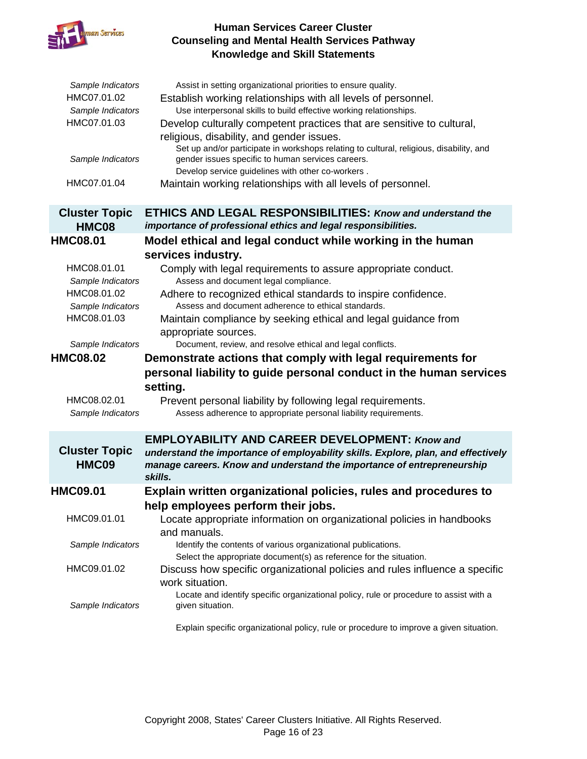

| Sample Indicators<br>HMC07.01.02<br>Sample Indicators<br>HMC07.01.03<br>Sample Indicators<br>HMC07.01.04                                                        | Assist in setting organizational priorities to ensure quality.<br>Establish working relationships with all levels of personnel.<br>Use interpersonal skills to build effective working relationships.<br>Develop culturally competent practices that are sensitive to cultural,<br>religious, disability, and gender issues.<br>Set up and/or participate in workshops relating to cultural, religious, disability, and<br>gender issues specific to human services careers.<br>Develop service guidelines with other co-workers.<br>Maintain working relationships with all levels of personnel.                                                                                                |
|-----------------------------------------------------------------------------------------------------------------------------------------------------------------|--------------------------------------------------------------------------------------------------------------------------------------------------------------------------------------------------------------------------------------------------------------------------------------------------------------------------------------------------------------------------------------------------------------------------------------------------------------------------------------------------------------------------------------------------------------------------------------------------------------------------------------------------------------------------------------------------|
|                                                                                                                                                                 |                                                                                                                                                                                                                                                                                                                                                                                                                                                                                                                                                                                                                                                                                                  |
| <b>Cluster Topic</b><br>HMC08                                                                                                                                   | <b>ETHICS AND LEGAL RESPONSIBILITIES: Know and understand the</b><br>importance of professional ethics and legal responsibilities.                                                                                                                                                                                                                                                                                                                                                                                                                                                                                                                                                               |
| <b>HMC08.01</b>                                                                                                                                                 | Model ethical and legal conduct while working in the human                                                                                                                                                                                                                                                                                                                                                                                                                                                                                                                                                                                                                                       |
| HMC08.01.01<br>Sample Indicators<br>HMC08.01.02<br>Sample Indicators<br>HMC08.01.03<br>Sample Indicators<br><b>HMC08.02</b><br>HMC08.02.01<br>Sample Indicators | services industry.<br>Comply with legal requirements to assure appropriate conduct.<br>Assess and document legal compliance.<br>Adhere to recognized ethical standards to inspire confidence.<br>Assess and document adherence to ethical standards.<br>Maintain compliance by seeking ethical and legal guidance from<br>appropriate sources.<br>Document, review, and resolve ethical and legal conflicts.<br>Demonstrate actions that comply with legal requirements for<br>personal liability to guide personal conduct in the human services<br>setting.<br>Prevent personal liability by following legal requirements.<br>Assess adherence to appropriate personal liability requirements. |
| <b>Cluster Topic</b><br>HMC09                                                                                                                                   | <b>EMPLOYABILITY AND CAREER DEVELOPMENT: Know and</b><br>understand the importance of employability skills. Explore, plan, and effectively<br>manage careers. Know and understand the importance of entrepreneurship<br>skills.                                                                                                                                                                                                                                                                                                                                                                                                                                                                  |
| <b>HMC09.01</b>                                                                                                                                                 | Explain written organizational policies, rules and procedures to                                                                                                                                                                                                                                                                                                                                                                                                                                                                                                                                                                                                                                 |
| HMC09.01.01                                                                                                                                                     | help employees perform their jobs.<br>Locate appropriate information on organizational policies in handbooks<br>and manuals.                                                                                                                                                                                                                                                                                                                                                                                                                                                                                                                                                                     |
| Sample Indicators                                                                                                                                               | Identify the contents of various organizational publications.                                                                                                                                                                                                                                                                                                                                                                                                                                                                                                                                                                                                                                    |
| HMC09.01.02                                                                                                                                                     |                                                                                                                                                                                                                                                                                                                                                                                                                                                                                                                                                                                                                                                                                                  |
|                                                                                                                                                                 | Select the appropriate document(s) as reference for the situation.<br>Discuss how specific organizational policies and rules influence a specific<br>work situation.<br>Locate and identify specific organizational policy, rule or procedure to assist with a                                                                                                                                                                                                                                                                                                                                                                                                                                   |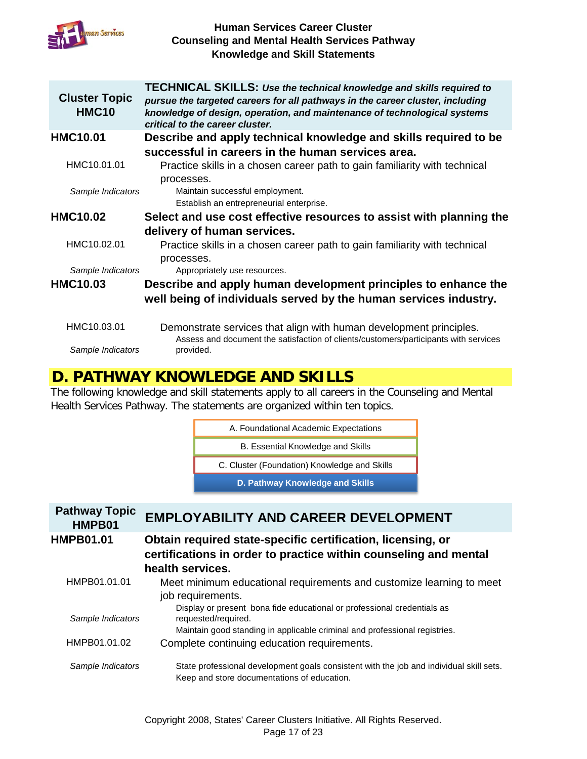

| <b>Cluster Topic</b><br><b>HMC10</b> | <b>TECHNICAL SKILLS: Use the technical knowledge and skills required to</b><br>pursue the targeted careers for all pathways in the career cluster, including<br>knowledge of design, operation, and maintenance of technological systems<br>critical to the career cluster. |
|--------------------------------------|-----------------------------------------------------------------------------------------------------------------------------------------------------------------------------------------------------------------------------------------------------------------------------|
| <b>HMC10.01</b>                      | Describe and apply technical knowledge and skills required to be                                                                                                                                                                                                            |
|                                      | successful in careers in the human services area.                                                                                                                                                                                                                           |
| HMC10.01.01                          | Practice skills in a chosen career path to gain familiarity with technical                                                                                                                                                                                                  |
|                                      | processes.                                                                                                                                                                                                                                                                  |
| Sample Indicators                    | Maintain successful employment.                                                                                                                                                                                                                                             |
|                                      | Establish an entrepreneurial enterprise.                                                                                                                                                                                                                                    |
| <b>HMC10.02</b>                      | Select and use cost effective resources to assist with planning the                                                                                                                                                                                                         |
|                                      | delivery of human services.                                                                                                                                                                                                                                                 |
| HMC10.02.01                          | Practice skills in a chosen career path to gain familiarity with technical                                                                                                                                                                                                  |
| Sample Indicators                    | processes.<br>Appropriately use resources.                                                                                                                                                                                                                                  |
| <b>HMC10.03</b>                      | Describe and apply human development principles to enhance the                                                                                                                                                                                                              |
|                                      | well being of individuals served by the human services industry.                                                                                                                                                                                                            |
|                                      |                                                                                                                                                                                                                                                                             |
| HMC10.03.01                          | Demonstrate services that align with human development principles.<br>Assess and document the satisfaction of clients/customers/participants with services                                                                                                                  |
| Sample Indicators                    | provided.                                                                                                                                                                                                                                                                   |

## **D. PATHWAY KNOWLEDGE AND SKILLS**

The following knowledge and skill statements apply to all careers in the Counseling and Mental Health Services Pathway. The statements are organized within ten topics.

| A. Foundational Academic Expectations        |  |
|----------------------------------------------|--|
| B. Essential Knowledge and Skills            |  |
| C. Cluster (Foundation) Knowledge and Skills |  |

**D. Pathway Knowledge and Skills**

| <b>Pathway Topic</b><br>HMPB01 | <b>EMPLOYABILITY AND CAREER DEVELOPMENT</b>                                                                                            |
|--------------------------------|----------------------------------------------------------------------------------------------------------------------------------------|
| <b>HMPB01.01</b>               | Obtain required state-specific certification, licensing, or<br>certifications in order to practice within counseling and mental        |
|                                | health services.                                                                                                                       |
| HMPB01.01.01                   | Meet minimum educational requirements and customize learning to meet<br>job requirements.                                              |
| Sample Indicators              | Display or present bona fide educational or professional credentials as<br>requested/required.                                         |
| HMPB01.01.02                   | Maintain good standing in applicable criminal and professional registries.<br>Complete continuing education requirements.              |
|                                |                                                                                                                                        |
| Sample Indicators              | State professional development goals consistent with the job and individual skill sets.<br>Keep and store documentations of education. |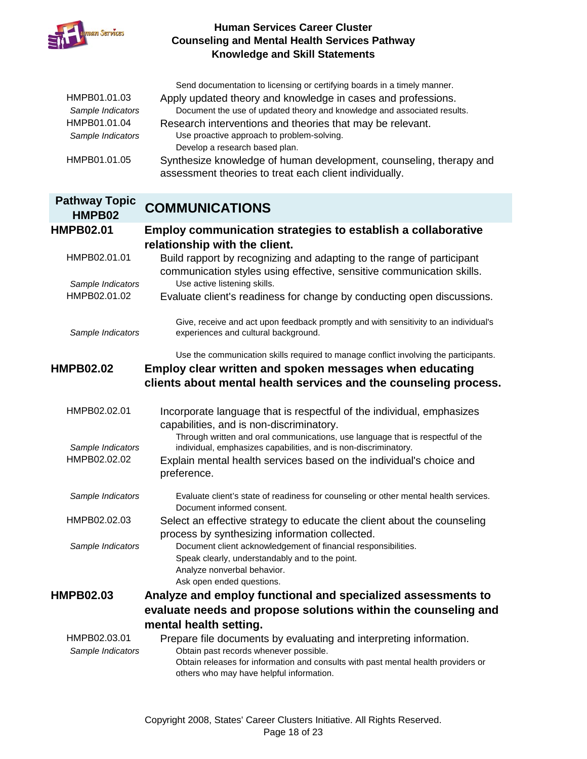

| HMPB01.01.03<br>Sample Indicators<br>HMPB01.01.04<br>Sample Indicators<br>HMPB01.01.05 | Send documentation to licensing or certifying boards in a timely manner.<br>Apply updated theory and knowledge in cases and professions.<br>Document the use of updated theory and knowledge and associated results.<br>Research interventions and theories that may be relevant.<br>Use proactive approach to problem-solving.<br>Develop a research based plan.<br>Synthesize knowledge of human development, counseling, therapy and<br>assessment theories to treat each client individually. |
|----------------------------------------------------------------------------------------|---------------------------------------------------------------------------------------------------------------------------------------------------------------------------------------------------------------------------------------------------------------------------------------------------------------------------------------------------------------------------------------------------------------------------------------------------------------------------------------------------|
| <b>Pathway Topic</b>                                                                   |                                                                                                                                                                                                                                                                                                                                                                                                                                                                                                   |
| HMPB02                                                                                 | <b>COMMUNICATIONS</b>                                                                                                                                                                                                                                                                                                                                                                                                                                                                             |
| <b>HMPB02.01</b>                                                                       | Employ communication strategies to establish a collaborative                                                                                                                                                                                                                                                                                                                                                                                                                                      |
|                                                                                        | relationship with the client.                                                                                                                                                                                                                                                                                                                                                                                                                                                                     |
| HMPB02.01.01                                                                           | Build rapport by recognizing and adapting to the range of participant<br>communication styles using effective, sensitive communication skills.                                                                                                                                                                                                                                                                                                                                                    |
| Sample Indicators                                                                      | Use active listening skills.                                                                                                                                                                                                                                                                                                                                                                                                                                                                      |
| HMPB02.01.02                                                                           | Evaluate client's readiness for change by conducting open discussions.                                                                                                                                                                                                                                                                                                                                                                                                                            |
| Sample Indicators                                                                      | Give, receive and act upon feedback promptly and with sensitivity to an individual's<br>experiences and cultural background.                                                                                                                                                                                                                                                                                                                                                                      |
|                                                                                        | Use the communication skills required to manage conflict involving the participants.                                                                                                                                                                                                                                                                                                                                                                                                              |
| <b>HMPB02.02</b>                                                                       | Employ clear written and spoken messages when educating                                                                                                                                                                                                                                                                                                                                                                                                                                           |
|                                                                                        |                                                                                                                                                                                                                                                                                                                                                                                                                                                                                                   |
|                                                                                        | clients about mental health services and the counseling process.                                                                                                                                                                                                                                                                                                                                                                                                                                  |
|                                                                                        |                                                                                                                                                                                                                                                                                                                                                                                                                                                                                                   |
| HMPB02.02.01                                                                           | Incorporate language that is respectful of the individual, emphasizes                                                                                                                                                                                                                                                                                                                                                                                                                             |
|                                                                                        | capabilities, and is non-discriminatory.<br>Through written and oral communications, use language that is respectful of the                                                                                                                                                                                                                                                                                                                                                                       |
| Sample Indicators                                                                      | individual, emphasizes capabilities, and is non-discriminatory.                                                                                                                                                                                                                                                                                                                                                                                                                                   |
| HMPB02.02.02                                                                           | Explain mental health services based on the individual's choice and                                                                                                                                                                                                                                                                                                                                                                                                                               |
|                                                                                        | preference.                                                                                                                                                                                                                                                                                                                                                                                                                                                                                       |
|                                                                                        |                                                                                                                                                                                                                                                                                                                                                                                                                                                                                                   |
| Sample Indicators                                                                      | Evaluate client's state of readiness for counseling or other mental health services.<br>Document informed consent.                                                                                                                                                                                                                                                                                                                                                                                |
| HMPB02.02.03                                                                           |                                                                                                                                                                                                                                                                                                                                                                                                                                                                                                   |
|                                                                                        | Select an effective strategy to educate the client about the counseling<br>process by synthesizing information collected.                                                                                                                                                                                                                                                                                                                                                                         |
| Sample Indicators                                                                      | Document client acknowledgement of financial responsibilities.                                                                                                                                                                                                                                                                                                                                                                                                                                    |
|                                                                                        | Speak clearly, understandably and to the point.                                                                                                                                                                                                                                                                                                                                                                                                                                                   |
|                                                                                        | Analyze nonverbal behavior.                                                                                                                                                                                                                                                                                                                                                                                                                                                                       |
|                                                                                        | Ask open ended questions.                                                                                                                                                                                                                                                                                                                                                                                                                                                                         |
|                                                                                        | Analyze and employ functional and specialized assessments to                                                                                                                                                                                                                                                                                                                                                                                                                                      |
| <b>HMPB02.03</b>                                                                       | evaluate needs and propose solutions within the counseling and                                                                                                                                                                                                                                                                                                                                                                                                                                    |
|                                                                                        | mental health setting.                                                                                                                                                                                                                                                                                                                                                                                                                                                                            |
| HMPB02.03.01<br>Sample Indicators                                                      | Prepare file documents by evaluating and interpreting information.<br>Obtain past records whenever possible.                                                                                                                                                                                                                                                                                                                                                                                      |

Obtain releases for information and consults with past mental health providers or others who may have helpful information.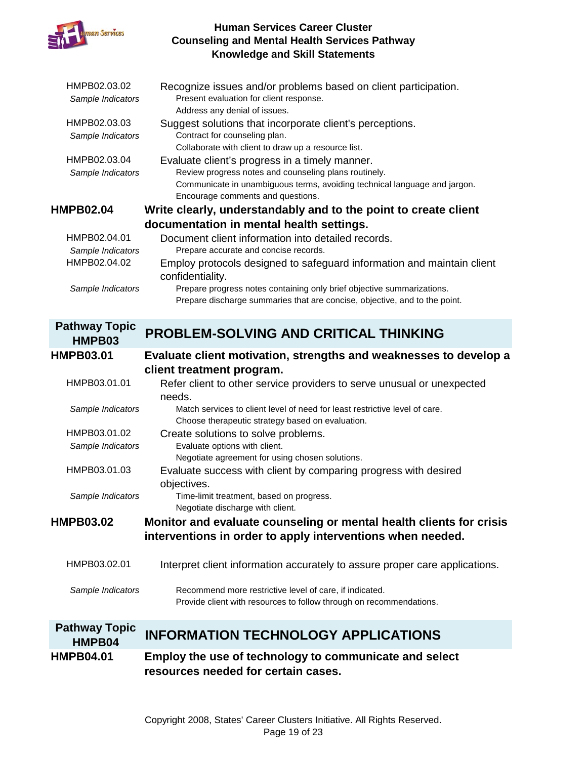

| HMPB02.03.02<br>Sample Indicators | Recognize issues and/or problems based on client participation.<br>Present evaluation for client response.<br>Address any denial of issues.          |
|-----------------------------------|------------------------------------------------------------------------------------------------------------------------------------------------------|
| HMPB02.03.03                      | Suggest solutions that incorporate client's perceptions.                                                                                             |
| Sample Indicators                 | Contract for counseling plan.                                                                                                                        |
|                                   | Collaborate with client to draw up a resource list.                                                                                                  |
| HMPB02.03.04                      | Evaluate client's progress in a timely manner.                                                                                                       |
| Sample Indicators                 | Review progress notes and counseling plans routinely.                                                                                                |
|                                   | Communicate in unambiguous terms, avoiding technical language and jargon.                                                                            |
|                                   | Encourage comments and questions.                                                                                                                    |
| <b>HMPB02.04</b>                  | Write clearly, understandably and to the point to create client                                                                                      |
|                                   | documentation in mental health settings.                                                                                                             |
| HMPB02.04.01                      | Document client information into detailed records.                                                                                                   |
| Sample Indicators                 | Prepare accurate and concise records.                                                                                                                |
| HMPB02.04.02                      | Employ protocols designed to safeguard information and maintain client<br>confidentiality.                                                           |
| Sample Indicators                 | Prepare progress notes containing only brief objective summarizations.<br>Prepare discharge summaries that are concise, objective, and to the point. |
| <b>Pathway Topic</b>              | <b>DDARI EM-SALVING AND CDITICAL THINKING</b>                                                                                                        |

| HMPB03                         | <b>PROBLEM-SOLVING AND CRITICAL THINKING</b>                                                                                    |
|--------------------------------|---------------------------------------------------------------------------------------------------------------------------------|
| <b>HMPB03.01</b>               | Evaluate client motivation, strengths and weaknesses to develop a                                                               |
|                                | client treatment program.                                                                                                       |
| HMPB03.01.01                   | Refer client to other service providers to serve unusual or unexpected<br>needs.                                                |
| Sample Indicators              | Match services to client level of need for least restrictive level of care.<br>Choose therapeutic strategy based on evaluation. |
| HMPB03.01.02                   | Create solutions to solve problems.                                                                                             |
| Sample Indicators              | Evaluate options with client.                                                                                                   |
|                                | Negotiate agreement for using chosen solutions.                                                                                 |
| HMPB03.01.03                   | Evaluate success with client by comparing progress with desired                                                                 |
| Sample Indicators              | objectives.<br>Time-limit treatment, based on progress.                                                                         |
|                                | Negotiate discharge with client.                                                                                                |
| <b>HMPB03.02</b>               | Monitor and evaluate counseling or mental health clients for crisis                                                             |
|                                | interventions in order to apply interventions when needed.                                                                      |
| HMPB03.02.01                   | Interpret client information accurately to assure proper care applications.                                                     |
| Sample Indicators              | Recommend more restrictive level of care, if indicated.<br>Provide client with resources to follow through on recommendations.  |
| <b>Pathway Topic</b><br>HMPB04 | <b>INFORMATION TECHNOLOGY APPLICATIONS</b>                                                                                      |
| <b>HMPB04.01</b>               | Employ the use of technology to communicate and select<br>resources needed for certain cases.                                   |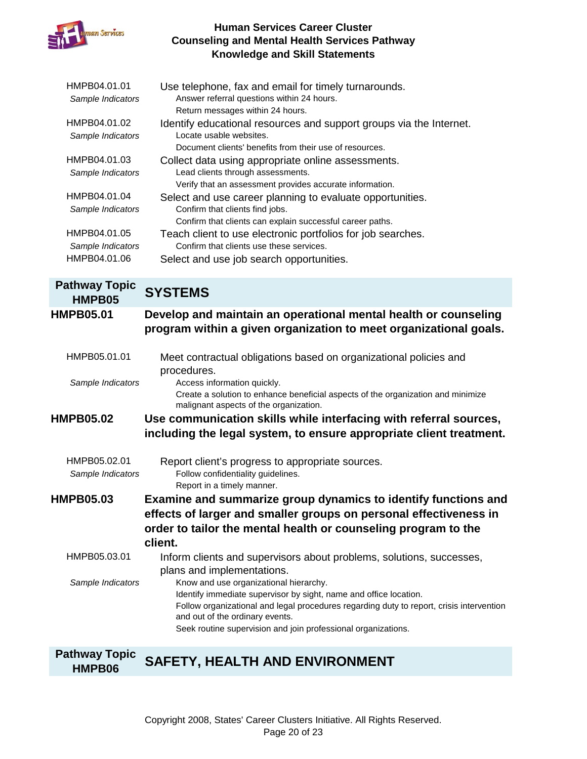

| HMPB04.01.01         | Use telephone, fax and email for timely turnarounds.                                                                                                          |
|----------------------|---------------------------------------------------------------------------------------------------------------------------------------------------------------|
| Sample Indicators    | Answer referral questions within 24 hours.                                                                                                                    |
|                      | Return messages within 24 hours.                                                                                                                              |
| HMPB04.01.02         | Identify educational resources and support groups via the Internet.                                                                                           |
| Sample Indicators    | Locate usable websites.                                                                                                                                       |
|                      | Document clients' benefits from their use of resources.                                                                                                       |
| HMPB04.01.03         | Collect data using appropriate online assessments.                                                                                                            |
| Sample Indicators    | Lead clients through assessments.                                                                                                                             |
|                      | Verify that an assessment provides accurate information.                                                                                                      |
| HMPB04.01.04         | Select and use career planning to evaluate opportunities.                                                                                                     |
| Sample Indicators    | Confirm that clients find jobs.                                                                                                                               |
|                      | Confirm that clients can explain successful career paths.                                                                                                     |
| HMPB04.01.05         | Teach client to use electronic portfolios for job searches.                                                                                                   |
| Sample Indicators    | Confirm that clients use these services.                                                                                                                      |
| HMPB04.01.06         | Select and use job search opportunities.                                                                                                                      |
| <b>Pathway Topic</b> |                                                                                                                                                               |
| HMPB05               | <b>SYSTEMS</b>                                                                                                                                                |
| <b>HMPB05.01</b>     | Develop and maintain an operational mental health or counseling                                                                                               |
|                      | program within a given organization to meet organizational goals.                                                                                             |
|                      |                                                                                                                                                               |
| HMPB05.01.01         | Meet contractual obligations based on organizational policies and                                                                                             |
|                      | procedures.                                                                                                                                                   |
| Sample Indicators    | Access information quickly.                                                                                                                                   |
|                      | Create a solution to enhance beneficial aspects of the organization and minimize                                                                              |
|                      | malignant aspects of the organization.                                                                                                                        |
| <b>HMPB05.02</b>     | Use communication skills while interfacing with referral sources,                                                                                             |
|                      | including the legal system, to ensure appropriate client treatment.                                                                                           |
|                      |                                                                                                                                                               |
| HMPB05.02.01         | Report client's progress to appropriate sources.                                                                                                              |
| Sample Indicators    | Follow confidentiality guidelines.                                                                                                                            |
|                      | Report in a timely manner.                                                                                                                                    |
| <b>HMPB05.03</b>     | Examine and summarize group dynamics to identify functions and                                                                                                |
|                      | effects of larger and smaller groups on personal effectiveness in                                                                                             |
|                      | order to tailor the mental health or counseling program to the                                                                                                |
|                      |                                                                                                                                                               |
|                      | client.                                                                                                                                                       |
| HMPB05.03.01         | Inform clients and supervisors about problems, solutions, successes,                                                                                          |
|                      | plans and implementations.                                                                                                                                    |
| Sample Indicators    | Know and use organizational hierarchy.                                                                                                                        |
|                      | Identify immediate supervisor by sight, name and office location.<br>Follow organizational and legal procedures regarding duty to report, crisis intervention |
|                      | and out of the ordinary events.                                                                                                                               |
|                      | Seek routine supervision and join professional organizations.                                                                                                 |
|                      |                                                                                                                                                               |
|                      |                                                                                                                                                               |

#### **Pathway Topic SAFETY, HEALTH AND ENVIRONMENT**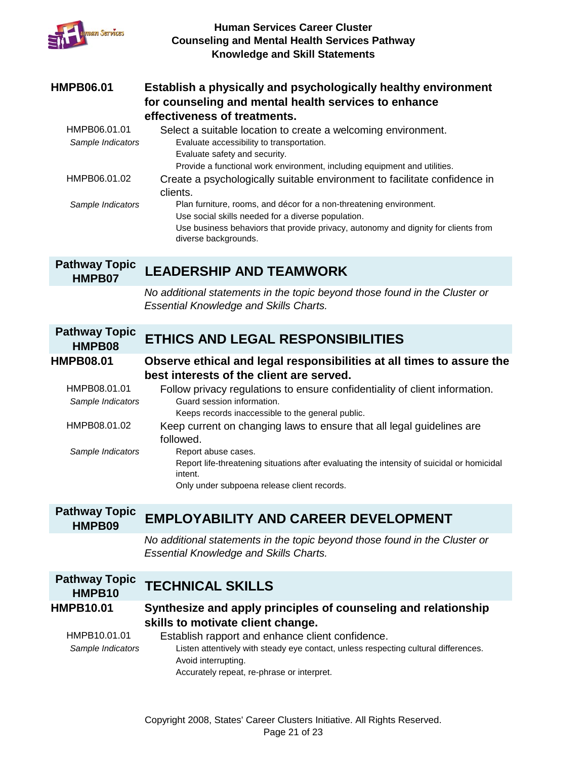| uman Services                     | <b>Human Services Career Cluster</b><br><b>Counseling and Mental Health Services Pathway</b><br><b>Knowledge and Skill Statements</b>                                                                                                   |
|-----------------------------------|-----------------------------------------------------------------------------------------------------------------------------------------------------------------------------------------------------------------------------------------|
| <b>HMPB06.01</b>                  | Establish a physically and psychologically healthy environment<br>for counseling and mental health services to enhance<br>effectiveness of treatments.                                                                                  |
| HMPB06.01.01<br>Sample Indicators | Select a suitable location to create a welcoming environment.<br>Evaluate accessibility to transportation.<br>Evaluate safety and security.<br>Provide a functional work environment, including equipment and utilities.                |
| HMPB06.01.02                      | Create a psychologically suitable environment to facilitate confidence in<br>clients.                                                                                                                                                   |
| Sample Indicators                 | Plan furniture, rooms, and décor for a non-threatening environment.<br>Use social skills needed for a diverse population.<br>Use business behaviors that provide privacy, autonomy and dignity for clients from<br>diverse backgrounds. |
| <b>Pathway Topic</b><br>HMPB07    | <b>LEADERSHIP AND TEAMWORK</b>                                                                                                                                                                                                          |
|                                   | No additional statements in the topic beyond those found in the Cluster or<br><b>Essential Knowledge and Skills Charts.</b>                                                                                                             |
| <b>Pathway Topic</b><br>HMPB08    | <b>ETHICS AND LEGAL RESPONSIBILITIES</b>                                                                                                                                                                                                |
| <b>HMPB08.01</b>                  | Observe ethical and legal responsibilities at all times to assure the<br>best interests of the client are served.                                                                                                                       |
| HMPB08.01.01<br>Sample Indicators | Follow privacy regulations to ensure confidentiality of client information.<br>Guard session information.<br>Keeps records inaccessible to the general public.                                                                          |
| HMPB08.01.02                      | Keep current on changing laws to ensure that all legal guidelines are<br>followed.                                                                                                                                                      |
| Sample Indicators                 | Report abuse cases.<br>Report life-threatening situations after evaluating the intensity of suicidal or homicidal<br>intent.<br>Only under subpoena release client records.                                                             |
| <b>Pathway Topic</b><br>HMPB09    | <b>EMPLOYABILITY AND CAREER DEVELOPMENT</b>                                                                                                                                                                                             |
|                                   | No additional statements in the topic beyond those found in the Cluster or<br><b>Essential Knowledge and Skills Charts.</b>                                                                                                             |
| <b>Pathway Topic</b><br>HMPB10    | <b>TECHNICAL SKILLS</b>                                                                                                                                                                                                                 |
| <b>HMPB10.01</b>                  | Synthesize and apply principles of counseling and relationship<br>skills to motivate client change.                                                                                                                                     |
| HMPB10.01.01<br>Sample Indicators | Establish rapport and enhance client confidence.<br>Listen attentively with steady eye contact, unless respecting cultural differences.<br>Avoid interrupting.<br>Accurately repeat, re-phrase or interpret.                            |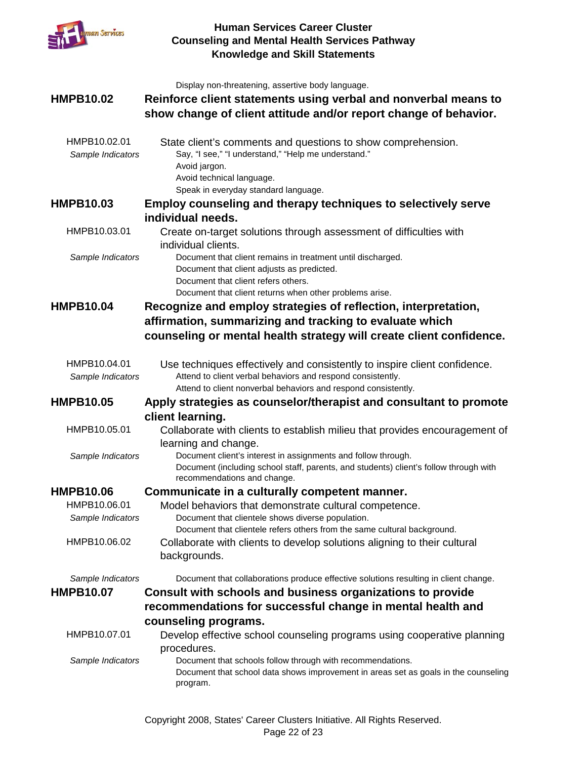

|                   | Display non-threatening, assertive body language.                                                                                                      |
|-------------------|--------------------------------------------------------------------------------------------------------------------------------------------------------|
| <b>HMPB10.02</b>  | Reinforce client statements using verbal and nonverbal means to                                                                                        |
|                   | show change of client attitude and/or report change of behavior.                                                                                       |
|                   |                                                                                                                                                        |
| HMPB10.02.01      | State client's comments and questions to show comprehension.                                                                                           |
| Sample Indicators | Say, "I see," "I understand," "Help me understand."                                                                                                    |
|                   | Avoid jargon.                                                                                                                                          |
|                   | Avoid technical language.                                                                                                                              |
|                   | Speak in everyday standard language.                                                                                                                   |
| <b>HMPB10.03</b>  | <b>Employ counseling and therapy techniques to selectively serve</b><br>individual needs.                                                              |
| HMPB10.03.01      |                                                                                                                                                        |
|                   | Create on-target solutions through assessment of difficulties with<br>individual clients.                                                              |
| Sample Indicators | Document that client remains in treatment until discharged.                                                                                            |
|                   | Document that client adjusts as predicted.<br>Document that client refers others.                                                                      |
|                   | Document that client returns when other problems arise.                                                                                                |
| <b>HMPB10.04</b>  | Recognize and employ strategies of reflection, interpretation,                                                                                         |
|                   | affirmation, summarizing and tracking to evaluate which                                                                                                |
|                   | counseling or mental health strategy will create client confidence.                                                                                    |
|                   |                                                                                                                                                        |
| HMPB10.04.01      | Use techniques effectively and consistently to inspire client confidence.                                                                              |
| Sample Indicators | Attend to client verbal behaviors and respond consistently.                                                                                            |
|                   | Attend to client nonverbal behaviors and respond consistently.                                                                                         |
| <b>HMPB10.05</b>  | Apply strategies as counselor/therapist and consultant to promote                                                                                      |
|                   | client learning.                                                                                                                                       |
| HMPB10.05.01      | Collaborate with clients to establish milieu that provides encouragement of                                                                            |
|                   | learning and change.                                                                                                                                   |
| Sample Indicators | Document client's interest in assignments and follow through.<br>Document (including school staff, parents, and students) client's follow through with |
|                   | recommendations and change.                                                                                                                            |
| <b>HMPB10.06</b>  | Communicate in a culturally competent manner.                                                                                                          |
| HMPB10.06.01      | Model behaviors that demonstrate cultural competence.                                                                                                  |
| Sample Indicators | Document that clientele shows diverse population.                                                                                                      |
|                   | Document that clientele refers others from the same cultural background.                                                                               |
| HMPB10.06.02      | Collaborate with clients to develop solutions aligning to their cultural                                                                               |
|                   | backgrounds.                                                                                                                                           |
| Sample Indicators | Document that collaborations produce effective solutions resulting in client change.                                                                   |
| <b>HMPB10.07</b>  | Consult with schools and business organizations to provide                                                                                             |
|                   | recommendations for successful change in mental health and                                                                                             |
|                   | counseling programs.                                                                                                                                   |
| HMPB10.07.01      | Develop effective school counseling programs using cooperative planning                                                                                |
|                   | procedures.                                                                                                                                            |
| Sample Indicators | Document that schools follow through with recommendations.                                                                                             |
|                   | Document that school data shows improvement in areas set as goals in the counseling                                                                    |
|                   | program.                                                                                                                                               |